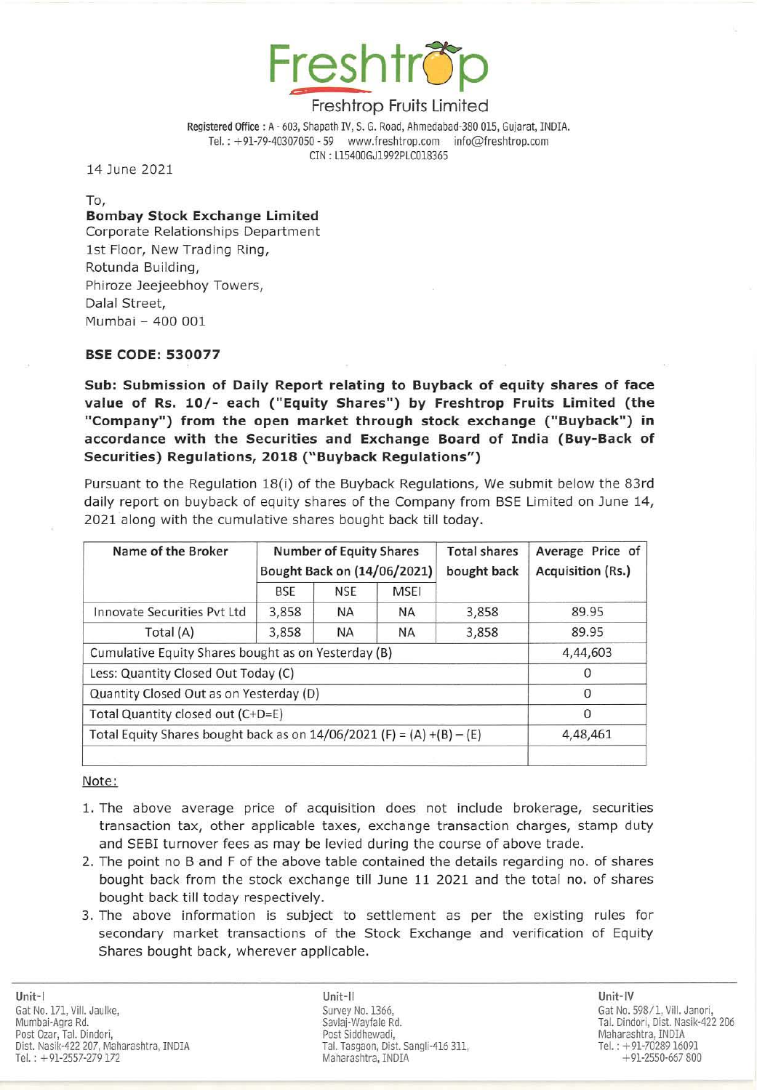

Registered Office: A - 603, Shapath IV, S. G. Road, Ahmedabad-380 015, Gujarat, INDIA. Tel.: +91-79-40307050 - 59 www.freshtrop.com info@freshtrop.com CIN : U54QOGJ1992PLC018365

14 June 2021

To,

# Bombay Stock Ex change Limited

Corporate Relationships Department 1st Floor, New Trading Ring, Rotunda Building, Phiroze Jeejeebhoy Towers, Dalal Street, Mumbai - 400 001

# BSE CODE: 530077

Sub: Submission of Daily Report relating to Buyback of equity shares of face value of Rs. 10/- each ("Equity Shares") by Freshtrop Fruits Limited (the "Company") from the open market through stock exchange ("Buyback") in accordance with the Securities and Exchange Board of India (Buy-Back of Securities) Regulations, 2018 (" Buyback Regulations")

Pursuant to the Regulation 18(i) of the Buyback Regulations, We submit below the 83rd daily report on buyback of equity shares of the Company from BSE Limited on June 14, 2021 along with the cumulative shares bought back till today.

| Name of the Broker                                                      | <b>Number of Equity Shares</b><br>Bought Back on (14/06/2021) |            |             | <b>Total shares</b><br>bought back | Average Price of<br>Acquisition (Rs.) |
|-------------------------------------------------------------------------|---------------------------------------------------------------|------------|-------------|------------------------------------|---------------------------------------|
|                                                                         | BSE                                                           | <b>NSE</b> | <b>MSEI</b> |                                    |                                       |
| Innovate Securities Pvt Ltd                                             | 3,858                                                         | <b>NA</b>  | <b>NA</b>   | 3,858                              | 89.95                                 |
| Total (A)                                                               | 3,858                                                         | <b>NA</b>  | ΝA          | 3,858                              | 89.95                                 |
| Cumulative Equity Shares bought as on Yesterday (B)                     |                                                               |            |             |                                    | 4,44,603                              |
| Less: Quantity Closed Out Today (C)                                     |                                                               |            |             |                                    | $\Omega$                              |
| Quantity Closed Out as on Yesterday (D)                                 |                                                               |            |             |                                    | $\Omega$                              |
| Total Quantity closed out (C+D=E)                                       |                                                               |            |             |                                    | $\Omega$                              |
| Total Equity Shares bought back as on $14/06/2021$ (F) = (A) +(B) – (E) |                                                               |            |             |                                    | 4,48,461                              |
|                                                                         |                                                               |            |             |                                    |                                       |

Note:

- 1. The above average price of acquisition does not include brokerage, securities transaction tax, other applicable taxes, exchange transaction charges, stamp duty and SEBI turnover fees as may be levied during the course of above trade.
- 2. The point no B and F of the above table contained the details regarding no. of shares bought back from the stock exchange till June 11 2021 and the total no. of shares bought back till today respectively.
- 3. The above information is subject to settlement as per the existing rules for secondary market transactions of the Stock Exchange and verification of Equity Shares bought back, wherever applicable.

Unit-I Gat No. 171, Vill. Jaulke, Mumbai-Agra Rd.<br>Post Ozar, Tal. Dindori, Post Oiar, Tal. Dindori, Maharashtra, INDIA Northern Stevens and Post Siddhewadi, Northern Stevens and Maharashtra, INDIA Dist. Nasik-422 207, Maharashtra, INDIA Tel.: +91-2557-279 172

Unit-II Unit-IV Survey No. 1366, Savlaj-Wayfale Rd. Tal. Tasgaon, Dist. Sangli-416 311, Maharashtra, INDIA

Gat No. 598/1, ViiI. Janori, Tal. Dindori, Dist. Nasik-422 206<br>Maharashtra, INDIA Tel.: +91-7028916091 +91-2550-667800